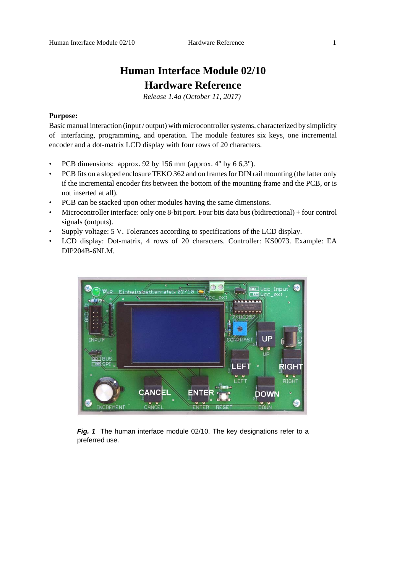# **Human Interface Module 02/10 Hardware Reference**

*Release 1.4a (October 11, 2017)* 

# **Purpose:**

Basic manual interaction (input / output) with microcontroller systems, characterized by simplicity of interfacing, programming, and operation. The module features six keys, one incremental encoder and a dot-matrix LCD display with four rows of 20 characters.

- PCB dimensions: approx. 92 by 156 mm (approx. 4" by 6 6,3").
- PCB fits on a sloped enclosure TEKO 362 and on frames for DIN rail mounting (the latter only if the incremental encoder fits between the bottom of the mounting frame and the PCB, or is not inserted at all).
- PCB can be stacked upon other modules having the same dimensions.
- Microcontroller interface: only one 8-bit port. Four bits data bus (bidirectional) + four control signals (outputs).
- Supply voltage: 5 V. Tolerances according to specifications of the LCD display.
- LCD display: Dot-matrix, 4 rows of 20 characters. Controller: KS0073. Example: EA DIP204B-6NLM.



Fig. 1 The human interface module 02/10. The key designations refer to a preferred use.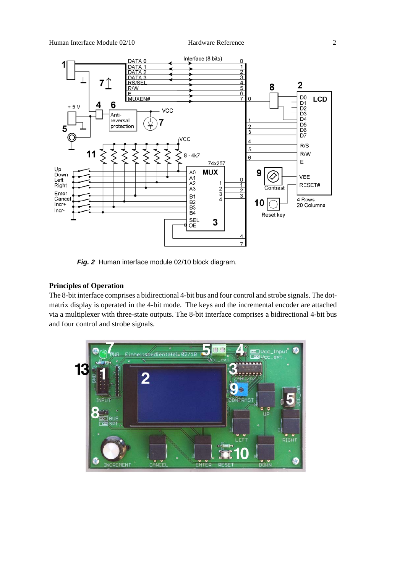

*Fig. 2* Human interface module 02/10 block diagram.

# **Principles of Operation**

The 8-bit interface comprises a bidirectional 4-bit bus and four control and strobe signals. The dotmatrix display is operated in the 4-bit mode. The keys and the incremental encoder are attached via a multiplexer with three-state outputs. The 8-bit interface comprises a bidirectional 4-bit bus and four control and strobe signals.

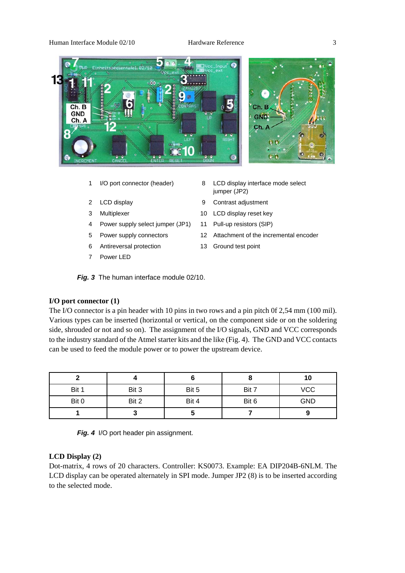#### Human Interface Module 02/10 Hardware Reference 3



- 
- 
- 
- 4 Power supply select jumper (JP1) 11 Pull-up resistors (SIP)
- 
- 6 Antireversal protection 13 Ground test point
- 7 Power LED
- 1 I/O port connector (header) 8 LCD display interface mode select jumper (JP2)
- 2 LCD display 9 Contrast adjustment
- 3 Multiplexer 10 LCD display reset key
	-
- 5 Power supply connectors 12 Attachment of the incremental encoder
	-

*Fig. 3* The human interface module 02/10.

#### **I/O port connector (1)**

The I/O connector is a pin header with 10 pins in two rows and a pin pitch 0f 2,54 mm (100 mil). Various types can be inserted (horizontal or vertical, on the component side or on the soldering side, shrouded or not and so on). The assignment of the I/O signals, GND and VCC corresponds to the industry standard of the Atmel starter kits and the like (Fig. 4). The GND and VCC contacts can be used to feed the module power or to power the upstream device.

|       |       |       | О     | 10         |
|-------|-------|-------|-------|------------|
| Bit 1 | Bit 3 | Bit 5 | Bit 7 | <b>VCC</b> |
| Bit 0 | Bit 2 | Bit 4 | Bit 6 | <b>GND</b> |
|       |       |       |       |            |

|  |  |  | Fig. 4 I/O port header pin assignment. |
|--|--|--|----------------------------------------|
|--|--|--|----------------------------------------|

# **LCD Display (2)**

Dot-matrix, 4 rows of 20 characters. Controller: KS0073. Example: EA DIP204B-6NLM. The LCD display can be operated alternately in SPI mode. Jumper JP2 (8) is to be inserted according to the selected mode.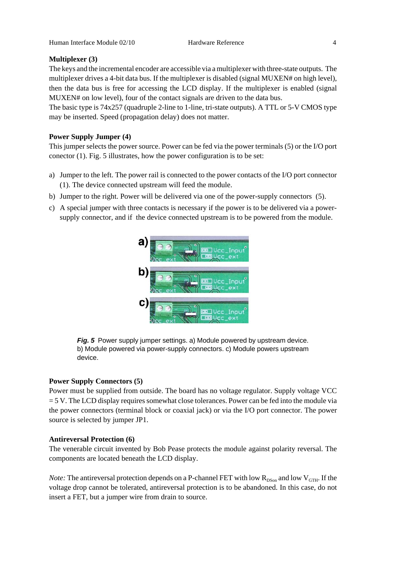# **Multiplexer (3)**

The keys and the incremental encoder are accessible via a multiplexer with three-state outputs. The multiplexer drives a 4-bit data bus. If the multiplexer is disabled (signal MUXEN# on high level), then the data bus is free for accessing the LCD display. If the multiplexer is enabled (signal MUXEN# on low level), four of the contact signals are driven to the data bus.

The basic type is 74x257 (quadruple 2-line to 1-line, tri-state outputs). A TTL or 5-V CMOS type may be inserted. Speed (propagation delay) does not matter.

## **Power Supply Jumper (4)**

This jumper selects the power source. Power can be fed via the power terminals (5) or the I/O port conector (1). Fig. 5 illustrates, how the power configuration is to be set:

- a) Jumper to the left. The power rail is connected to the power contacts of the I/O port connector (1). The device connected upstream will feed the module.
- b) Jumper to the right. Power will be delivered via one of the power-supply connectors (5).
- c) A special jumper with three contacts is necessary if the power is to be delivered via a powersupply connector, and if the device connected upstream is to be powered from the module.



**Fig. 5** Power supply jumper settings. a) Module powered by upstream device. b) Module powered via power-supply connectors. c) Module powers upstream device.

### **Power Supply Connectors (5)**

Power must be supplied from outside. The board has no voltage regulator. Supply voltage VCC = 5 V. The LCD display requires somewhat close tolerances. Power can be fed into the module via the power connectors (terminal block or coaxial jack) or via the I/O port connector. The power source is selected by jumper JP1.

### **Antireversal Protection (6)**

The venerable circuit invented by Bob Pease protects the module against polarity reversal. The components are located beneath the LCD display.

*Note:* The antireversal protection depends on a P-channel FET with low  $R_{DSon}$  and low  $V_{GTH}$ . If the voltage drop cannot be tolerated, antireversal protection is to be abandoned. In this case, do not insert a FET, but a jumper wire from drain to source.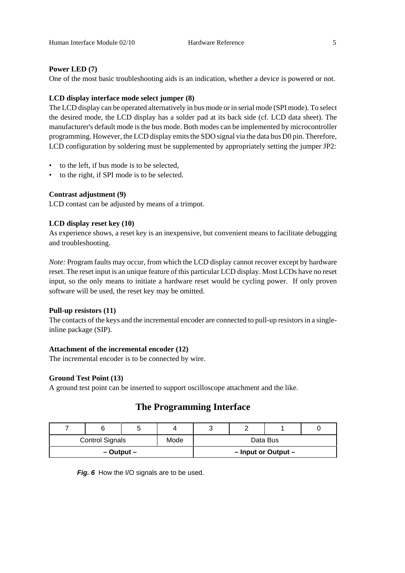# **Power LED (7)**

One of the most basic troubleshooting aids is an indication, whether a device is powered or not.

# **LCD display interface mode select jumper (8)**

The LCD display can be operated alternatively in bus mode or in serial mode (SPI mode). To select the desired mode, the LCD display has a solder pad at its back side (cf. LCD data sheet). The manufacturer's default mode is the bus mode. Both modes can be implemented by microcontroller programming. However, the LCD display emits the SDO signal via the data bus D0 pin. Therefore, LCD configuration by soldering must be supplemented by appropriately setting the jumper JP2:

- to the left, if bus mode is to be selected,
- to the right, if SPI mode is to be selected.

# **Contrast adjustment (9)**

LCD contast can be adjusted by means of a trimpot.

# **LCD display reset key (10)**

As experience shows, a reset key is an inexpensive, but convenient means to facilitate debugging and troubleshooting.

*Note:* Program faults may occur, from which the LCD display cannot recover except by hardware reset. The reset input is an unique feature of this particular LCD display. Most LCDs have no reset input, so the only means to initiate a hardware reset would be cycling power. If only proven software will be used, the reset key may be omitted.

### **Pull-up resistors (11)**

The contacts of the keys and the incremental encoder are connected to pull-up resistors in a singleinline package (SIP).

### **Attachment of the incremental encoder (12)**

The incremental encoder is to be connected by wire.

# **Ground Test Point (13)**

A ground test point can be inserted to support oscilloscope attachment and the like.

# **The Programming Interface**

|                                |  |          |  | ັ |                         |  |  |
|--------------------------------|--|----------|--|---|-------------------------|--|--|
| <b>Control Signals</b><br>Mode |  | Data Bus |  |   |                         |  |  |
| – Output –                     |  |          |  |   | $-$ Input or Output $-$ |  |  |

Fig. 6 How the I/O signals are to be used.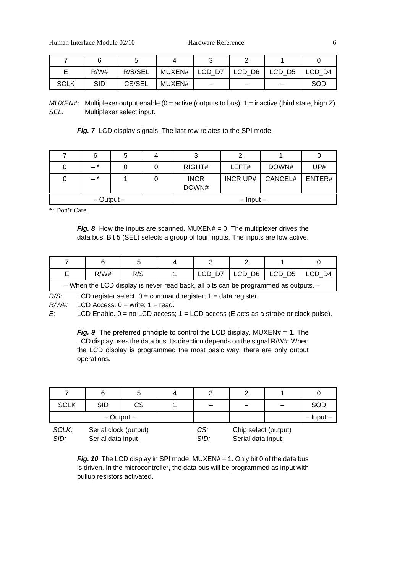Human Interface Module 02/10 Hardware Reference 6

|             | R/W#       | R/S/SEL | MUXEN# |  | $LCD$ D7 $ $ LCD D6 $ $ LCD D5 $ $ | I LCD D4 |
|-------------|------------|---------|--------|--|------------------------------------|----------|
| <b>SCLK</b> | <b>SID</b> | CS/SEL  | MUXEN# |  |                                    | SOD      |

*MUXEN#:* Multiplexer output enable (0 = active (outputs to bus); 1 = inactive (third state, high Z). *SEL:* Multiplexer select input.

**Fig. 7** LCD display signals. The last row relates to the SPI mode.

|                |  | J                    |                 |         |        |
|----------------|--|----------------------|-----------------|---------|--------|
| - *            |  | RIGHT#               | LEFT#           | DOWN#   | UP#    |
| $-$ *          |  | <b>INCR</b><br>DOWN# | <b>INCR UP#</b> | CANCEL# | ENTER# |
| $-$ Output $-$ |  | $-$ lnput $-$        |                 |         |        |

\*: Don't Care.

*Fig. 8* How the inputs are scanned. MUXEN# = 0. The multiplexer drives the data bus. Bit 5 (SEL) selects a group of four inputs. The inputs are low active.

|                                                                                     | R/W# | R/S |  |  |  | LCD D7   LCD D6   LCD D5   LCD D4 |  |
|-------------------------------------------------------------------------------------|------|-----|--|--|--|-----------------------------------|--|
| - When the LCD display is never read back, all bits can be programmed as outputs. - |      |     |  |  |  |                                   |  |

*R*/S: LCD register select. 0 = command register; 1 = data register.

*R/W#:* LCD Access. 0 = write; 1 = read.

*E*: LCD Enable. 0 = no LCD access; 1 = LCD access (E acts as a strobe or clock pulse).

*Fig.* 9 The preferred principle to control the LCD display. MUXEN# = 1. The LCD display uses the data bus. Its direction depends on the signal R/W#. When the LCD display is programmed the most basic way, there are only output operations.

|                | 6                                          |    | 4 | 3           |                                           |     |
|----------------|--------------------------------------------|----|---|-------------|-------------------------------------------|-----|
| <b>SCLK</b>    | <b>SID</b>                                 | СS |   |             |                                           | SOD |
| $-$ Output $-$ |                                            |    |   |             | $-$ Input $-$                             |     |
| SCLK:<br>SID:  | Serial clock (output)<br>Serial data input |    |   | CS:<br>SID: | Chip select (output)<br>Serial data input |     |

*Fig. 10* The LCD display in SPI mode. MUXEN# = 1. Only bit 0 of the data bus is driven. In the microcontroller, the data bus will be programmed as input with pullup resistors activated.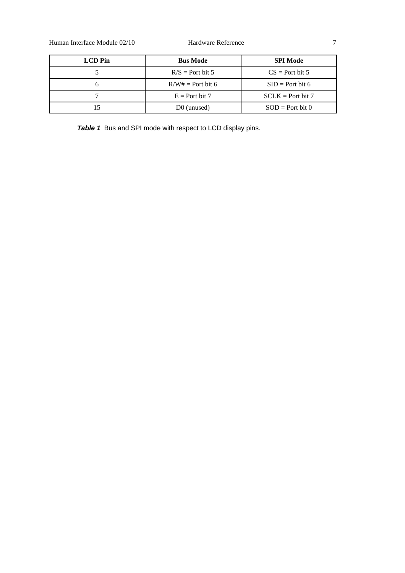Human Interface Module 02/10 Hardware Reference 7

| <b>LCD</b> Pin | <b>Bus Mode</b>         | <b>SPI Mode</b>     |
|----------------|-------------------------|---------------------|
|                | $R/S =$ Port bit 5      | $CS =$ Port bit 5   |
|                | $R/W# =$ Port bit 6     | $SID = Port bit 6$  |
|                | $E =$ Port bit 7        | $SCLK = Port bit 7$ |
|                | D <sub>0</sub> (unused) | $SOD = Port bit 0$  |

*Table 1* Bus and SPI mode with respect to LCD display pins.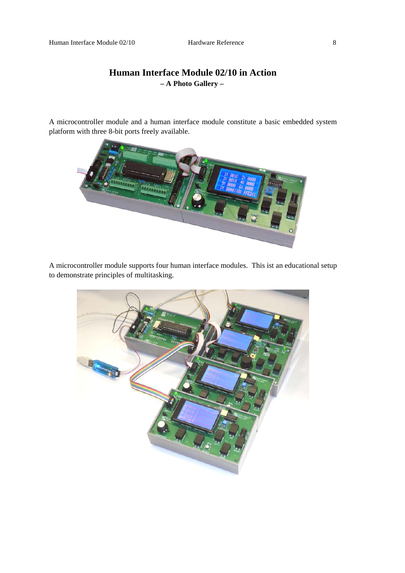# **Human Interface Module 02/10 in Action – A Photo Gallery –**

A microcontroller module and a human interface module constitute a basic embedded system platform with three 8-bit ports freely available.



A microcontroller module supports four human interface modules. This ist an educational setup to demonstrate principles of multitasking.

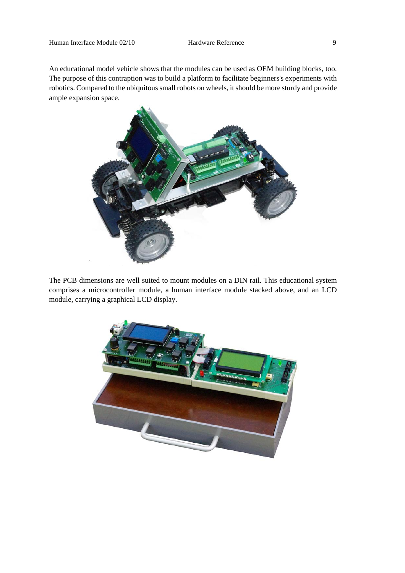An educational model vehicle shows that the modules can be used as OEM building blocks, too. The purpose of this contraption was to build a platform to facilitate beginners's experiments with robotics. Compared to the ubiquitous small robots on wheels, it should be more sturdy and provide ample expansion space.



The PCB dimensions are well suited to mount modules on a DIN rail. This educational system comprises a microcontroller module, a human interface module stacked above, and an LCD module, carrying a graphical LCD display.

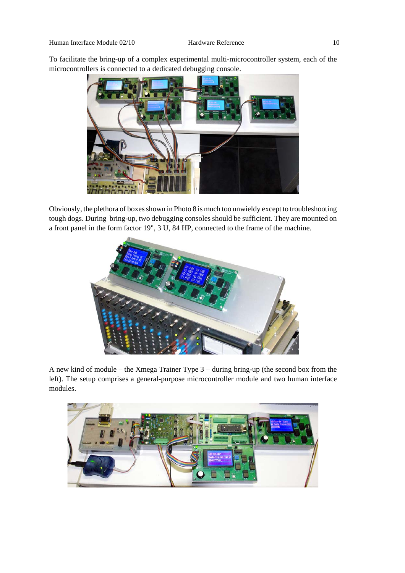To facilitate the bring-up of a complex experimental multi-microcontroller system, each of the microcontrollers is connected to a dedicated debugging console.



Obviously, the plethora of boxes shown in Photo 8 is much too unwieldy except to troubleshooting tough dogs. During bring-up, two debugging consoles should be sufficient. They are mounted on a front panel in the form factor 19", 3 U, 84 HP, connected to the frame of the machine.



A new kind of module – the Xmega Trainer Type 3 – during bring-up (the second box from the left). The setup comprises a general-purpose microcontroller module and two human interface modules.